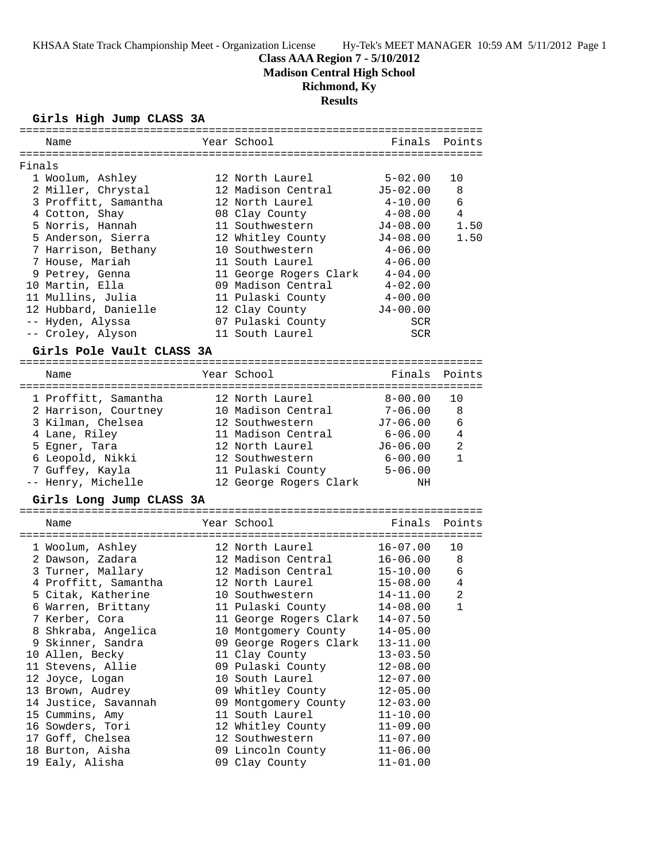# **Class AAA Region 7 - 5/10/2012**

**Madison Central High School**

# **Richmond, Ky**

# **Results**

## **Girls High Jump CLASS 3A**

|        | ===========<br>============= |                        |              |                |
|--------|------------------------------|------------------------|--------------|----------------|
|        | Name                         | Year School            | Finals       | Points         |
|        |                              |                        |              |                |
| Finals |                              |                        |              |                |
|        | 1 Woolum, Ashley             | 12 North Laurel        | $5 - 02.00$  | 10             |
|        | 2 Miller, Chrystal           | 12 Madison Central     | $J5 - 02.00$ | 8              |
|        | 3 Proffitt, Samantha         | 12 North Laurel        | $4 - 10.00$  | 6              |
|        | 4 Cotton, Shay               | 08 Clay County         | $4 - 08.00$  | 4              |
|        | 5 Norris, Hannah             | 11 Southwestern        | $J4 - 08.00$ | 1.50           |
|        | 5 Anderson, Sierra           | 12 Whitley County      | $J4 - 08.00$ | 1.50           |
|        | 7 Harrison, Bethany          | 10 Southwestern        | $4 - 06.00$  |                |
|        | 7 House, Mariah              | 11 South Laurel        | $4 - 06.00$  |                |
|        | 9 Petrey, Genna              | 11 George Rogers Clark | $4 - 04.00$  |                |
|        | 10 Martin, Ella              | 09 Madison Central     | $4 - 02.00$  |                |
|        | 11 Mullins, Julia            | 11 Pulaski County      | $4 - 00.00$  |                |
|        | 12 Hubbard, Danielle         | 12 Clay County         | $J4 - 00.00$ |                |
|        | -- Hyden, Alyssa             | 07 Pulaski County      | <b>SCR</b>   |                |
|        | -- Croley, Alyson            | 11 South Laurel        | <b>SCR</b>   |                |
|        | Girls Pole Vault CLASS 3A    |                        |              |                |
|        |                              |                        |              |                |
|        | Name                         | Year School            | Finals       | Points         |
|        | 1 Proffitt, Samantha         | 12 North Laurel        | $8 - 00.00$  | 10             |
|        | 2 Harrison, Courtney         | 10 Madison Central     | $7 - 06.00$  | 8              |
|        | 3 Kilman, Chelsea            | 12 Southwestern        | $J7-06.00$   | 6              |
|        | 4 Lane, Riley                | 11 Madison Central     | 6-06.00      | 4              |
|        | 5 Egner, Tara                | 12 North Laurel        | $J6 - 06.00$ | 2              |
|        | 6 Leopold, Nikki             | 12 Southwestern        | $6 - 00.00$  | $\mathbf{1}$   |
|        | 7 Guffey, Kayla              | 11 Pulaski County      | $5 - 06.00$  |                |
|        | -- Henry, Michelle           | 12 George Rogers Clark | NH           |                |
|        |                              |                        |              |                |
|        | Girls Long Jump CLASS 3A     |                        |              |                |
|        | Name                         | Year School            | Finals       | Points         |
|        | 1 Woolum, Ashley             | 12 North Laurel        | $16 - 07.00$ | 10             |
|        | 2 Dawson, Zadara             | 12 Madison Central     | $16 - 06.00$ | 8              |
|        | 3 Turner, Mallary            | 12 Madison Central     | $15 - 10.00$ | 6              |
|        | 4 Proffitt, Samantha         | 12 North Laurel        | $15 - 08.00$ | 4              |
|        | 5 Citak, Katherine           | 10 Southwestern        | $14 - 11.00$ | $\overline{a}$ |
|        | 6 Warren, Brittany           | 11 Pulaski County      | $14 - 08.00$ | $\mathbf{1}$   |
|        | 7 Kerber, Cora               | 11 George Rogers Clark | $14 - 07.50$ |                |
|        | 8 Shkraba, Angelica          | 10 Montgomery County   | $14 - 05.00$ |                |
|        | 9 Skinner, Sandra            | 09 George Rogers Clark | $13 - 11.00$ |                |
|        | 10 Allen, Becky              | 11 Clay County         | $13 - 03.50$ |                |
|        | 11 Stevens, Allie            | 09 Pulaski County      | $12 - 08.00$ |                |
|        | 12 Joyce, Logan              | 10 South Laurel        | $12 - 07.00$ |                |
|        | 13 Brown, Audrey             | 09 Whitley County      | $12 - 05.00$ |                |
|        | 14 Justice, Savannah         | 09 Montgomery County   | $12 - 03.00$ |                |
|        | 15 Cummins, Amy              | 11 South Laurel        | $11 - 10.00$ |                |
|        | 16 Sowders, Tori             | 12 Whitley County      | $11 - 09.00$ |                |
|        | 17 Goff, Chelsea             | 12 Southwestern        | $11 - 07.00$ |                |
|        | 18 Burton, Aisha             | 09 Lincoln County      | $11 - 06.00$ |                |
|        | 19 Ealy, Alisha              | 09 Clay County         | $11 - 01.00$ |                |
|        |                              |                        |              |                |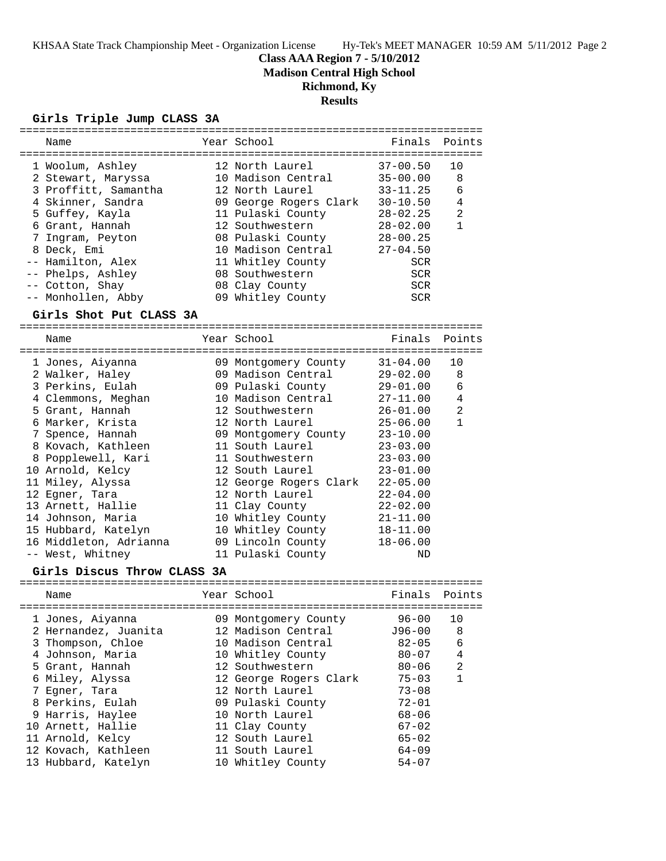**Class AAA Region 7 - 5/10/2012**

**Madison Central High School**

**Richmond, Ky**

# **Results**

## **Girls Triple Jump CLASS 3A**

| Name                        | Year School            | Finals       | Points         |
|-----------------------------|------------------------|--------------|----------------|
|                             |                        |              |                |
| 1 Woolum, Ashley            | 12 North Laurel        | $37 - 00.50$ | 10             |
| 2 Stewart, Maryssa          | 10 Madison Central     | $35 - 00.00$ | 8              |
| 3 Proffitt, Samantha        | 12 North Laurel        | $33 - 11.25$ | 6              |
| 4 Skinner, Sandra           | 09 George Rogers Clark | $30 - 10.50$ | 4              |
| 5 Guffey, Kayla             | 11 Pulaski County      | $28 - 02.25$ | 2              |
| 6 Grant, Hannah             | 12 Southwestern        | $28 - 02.00$ | $\mathbf{1}$   |
| 7 Ingram, Peyton            | 08 Pulaski County      | $28 - 00.25$ |                |
| 8 Deck, Emi                 | 10 Madison Central     | $27 - 04.50$ |                |
| -- Hamilton, Alex           | 11 Whitley County      | <b>SCR</b>   |                |
| -- Phelps, Ashley           | 08 Southwestern        | <b>SCR</b>   |                |
| -- Cotton, Shay             | 08 Clay County         | <b>SCR</b>   |                |
| -- Monhollen, Abby          | 09 Whitley County      | <b>SCR</b>   |                |
| Girls Shot Put CLASS 3A     |                        |              |                |
|                             |                        |              |                |
| Name                        | Year School            | Finals       | Points         |
| 1 Jones, Aiyanna            | 09 Montgomery County   | $31 - 04.00$ | 10             |
| 2 Walker, Haley             | 09 Madison Central     | $29 - 02.00$ | 8              |
| 3 Perkins, Eulah            | 09 Pulaski County      | $29 - 01.00$ | 6              |
| 4 Clemmons, Meghan          | 10 Madison Central     | $27 - 11.00$ | 4              |
| 5 Grant, Hannah             | 12 Southwestern        | $26 - 01.00$ | $\overline{a}$ |
| 6 Marker, Krista            | 12 North Laurel        | $25 - 06.00$ | $\mathbf{1}$   |
| 7 Spence, Hannah            | 09 Montgomery County   | $23 - 10.00$ |                |
| 8 Kovach, Kathleen          | 11 South Laurel        | $23 - 03.00$ |                |
| 8 Popplewell, Kari          | 11 Southwestern        | $23 - 03.00$ |                |
| 10 Arnold, Kelcy            | 12 South Laurel        | $23 - 01.00$ |                |
| 11 Miley, Alyssa            | 12 George Rogers Clark | $22 - 05.00$ |                |
| 12 Egner, Tara              | 12 North Laurel        | $22 - 04.00$ |                |
| 13 Arnett, Hallie           | 11 Clay County         | $22 - 02.00$ |                |
| 14 Johnson, Maria           | 10 Whitley County      | $21 - 11.00$ |                |
| 15 Hubbard, Katelyn         | 10 Whitley County      | $18 - 11.00$ |                |
| 16 Middleton, Adrianna      | 09 Lincoln County      | $18 - 06.00$ |                |
| -- West, Whitney            | 11 Pulaski County      | ND           |                |
| Girls Discus Throw CLASS 3A |                        |              |                |
|                             |                        |              |                |
| Name                        | Year School            | Finals       | Points         |
| 1 Jones, Aiyanna            | 09 Montgomery County   | $96 - 00$    | 10             |
| 2 Hernandez, Juanita        | 12 Madison Central     | J96-00       | 8              |
| 3 Thompson, Chloe           | 10 Madison Central     | $82 - 05$    | 6              |
| 4 Johnson, Maria            | 10 Whitley County      | $80 - 07$    | 4              |
| 5 Grant, Hannah             | 12 Southwestern        | $80 - 06$    | 2              |
| 6 Miley, Alyssa             | 12 George Rogers Clark | $75 - 03$    | $\mathbf{1}$   |
| 7 Egner, Tara               | 12 North Laurel        | $73 - 08$    |                |
| 8 Perkins, Eulah            | 09 Pulaski County      | $72 - 01$    |                |
| 9 Harris, Haylee            | 10 North Laurel        | $68 - 06$    |                |
| 10 Arnett, Hallie           | 11 Clay County         | $67 - 02$    |                |
| 11 Arnold, Kelcy            | 12 South Laurel        | $65 - 02$    |                |
| 12 Kovach, Kathleen         | 11 South Laurel        | $64 - 09$    |                |
| 13 Hubbard, Katelyn         | 10 Whitley County      | $54 - 07$    |                |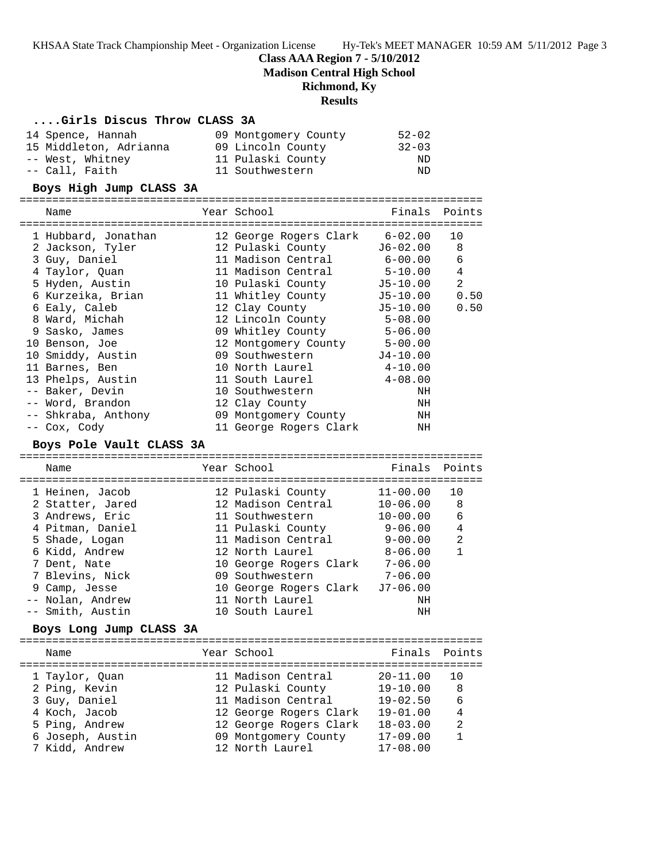### **Class AAA Region 7 - 5/10/2012**

**Madison Central High School**

#### **Richmond, Ky**

#### **Results**

#### **....Girls Discus Throw CLASS 3A**

| 14 Spence, Hannah      | 09 Montgomery County | $52 - 02$ |
|------------------------|----------------------|-----------|
| 15 Middleton, Adrianna | 09 Lincoln County    | $32 - 03$ |
| -- West, Whitney       | 11 Pulaski County    | ND        |
| -- Call, Faith         | 11 Southwestern      | ND.       |

#### **Boys High Jump CLASS 3A**

======================================================================= Name **The School School Finals Points** Points ======================================================================= 1 Hubbard, Jonathan 12 George Rogers Clark 6-02.00 10 2 Jackson, Tyler 12 Pulaski County J6-02.00 8 3 Guy, Daniel 11 Madison Central 6-00.00 6 4 Taylor, Quan 11 Madison Central 5-10.00 4 5 Hyden, Austin 10 Pulaski County J5-10.00 2 6 Kurzeika, Brian 11 Whitley County J5-10.00 0.50 6 Ealy, Caleb 12 Clay County J5-10.00 0.50 8 Ward, Michah 12 Lincoln County 5-08.00 9 Sasko, James 09 Whitley County 5-06.00 10 Benson, Joe 12 Montgomery County 5-00.00 10 Smiddy, Austin 09 Southwestern J4-10.00 11 Barnes, Ben 10 North Laurel 4-10.00 13 Phelps, Austin 11 South Laurel 4-08.00 -- Baker, Devin 10 Southwestern NH -- Word, Brandon 12 Clay County NH -- Shkraba, Anthony 09 Montgomery County NH -- Cox, Cody 11 George Rogers Clark NH

#### **Boys Pole Vault CLASS 3A**

======================================================================= Name The Year School The Finals Points ======================================================================= 1 Heinen, Jacob 12 Pulaski County 11-00.00 10 2 Statter, Jared 12 Madison Central 10-06.00 8 3 Andrews, Eric 11 Southwestern 10-00.00 6 4 Pitman, Daniel 11 Pulaski County 9-06.00 4 5 Shade, Logan 11 Madison Central 9-00.00 2 6 Kidd, Andrew 12 North Laurel 8-06.00 1 7 Dent, Nate 10 George Rogers Clark 7-06.00 7 Blevins, Nick 09 Southwestern 7-06.00 9 Camp, Jesse 10 George Rogers Clark J7-06.00 -- Nolan, Andrew 11 North Laurel NH -- Smith, Austin 10 South Laurel NH

### **Boys Long Jump CLASS 3A**

======================================================================= Name The Year School The Points Points Points ======================================================================= 1 Taylor, Quan 11 Madison Central 20-11.00 10 2 Ping, Kevin 12 Pulaski County 19-10.00 8 3 Guy, Daniel 11 Madison Central 19-02.50 6 4 Koch, Jacob 12 George Rogers Clark 19-01.00 4 5 Ping, Andrew 12 George Rogers Clark 18-03.00 2 6 Joseph, Austin 09 Montgomery County 17-09.00 1 7 Kidd, Andrew 12 North Laurel 17-08.00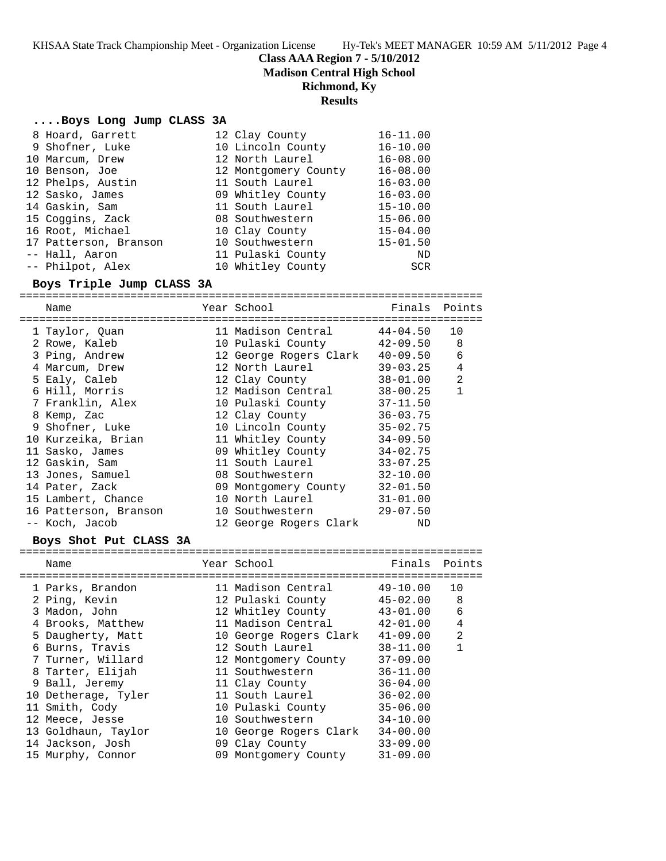**Class AAA Region 7 - 5/10/2012**

**Madison Central High School**

## **Richmond, Ky**

### **Results**

### **....Boys Long Jump CLASS 3A**

| 8 Hoard, Garrett      | 12 Clay County       | $16 - 11.00$ |
|-----------------------|----------------------|--------------|
| 9 Shofner, Luke       | 10 Lincoln County    | $16 - 10.00$ |
| 10 Marcum, Drew       | 12 North Laurel      | $16 - 08.00$ |
| 10 Benson, Joe        | 12 Montgomery County | $16 - 08.00$ |
| 12 Phelps, Austin     | 11 South Laurel      | $16 - 03.00$ |
| 12 Sasko, James       | 09 Whitley County    | $16 - 03.00$ |
| 14 Gaskin, Sam        | 11 South Laurel      | $15 - 10.00$ |
| 15 Coggins, Zack      | 08 Southwestern      | $15 - 06.00$ |
| 16 Root, Michael      | 10 Clay County       | $15 - 04.00$ |
| 17 Patterson, Branson | 10 Southwestern      | $15 - 01.50$ |
| -- Hall, Aaron        | 11 Pulaski County    | ND           |
| -- Philpot, Alex      | 10 Whitley County    | <b>SCR</b>   |

## **Boys Triple Jump CLASS 3A**

======================================================================= Name Year School Finals Points ======================================================================= 1 Taylor, Quan 11 Madison Central 44-04.50 10 2 Rowe, Kaleb 10 Pulaski County 42-09.50 8

| 3 Ping, Andrew        | 12 George Rogers Clark     | 40-09.50     | 6 |
|-----------------------|----------------------------|--------------|---|
| 4 Marcum, Drew        | 12 North Laurel            | 39-03.25     | 4 |
| 5 Ealy, Caleb         | 12 Clay County             | 38-01.00     | 2 |
| 6 Hill, Morris        | 12 Madison Central         | 38-00.25     | 1 |
| 7 Franklin, Alex      | 10 Pulaski County          | $37 - 11.50$ |   |
| 8 Kemp, Zac           | 12 Clay County             | $36 - 03.75$ |   |
| 9 Shofner, Luke       | 10 Lincoln County          | 35-02.75     |   |
| 10 Kurzeika, Brian    | 11 Whitley County          | $34 - 09.50$ |   |
| 11 Sasko, James       | 09 Whitley County 34-02.75 |              |   |
| 12 Gaskin, Sam        | 11 South Laurel            | $33 - 07.25$ |   |
| 13 Jones, Samuel      | 08 Southwestern            | $32 - 10.00$ |   |
| 14 Pater, Zack        | 09 Montgomery County       | $32 - 01.50$ |   |
| 15 Lambert, Chance    | 10 North Laurel 31-01.00   |              |   |
| 16 Patterson, Branson | 10 Southwestern 29-07.50   |              |   |
| -- Koch, Jacob        | 12 George Rogers Clark     | ND           |   |

#### **Boys Shot Put CLASS 3A**

| Name                | Year School            | Finals       | Points |
|---------------------|------------------------|--------------|--------|
| 1 Parks, Brandon    | 11 Madison Central     | $49 - 10.00$ | 10     |
| 2 Ping, Kevin       | 12 Pulaski County      | $45 - 02.00$ | 8      |
| 3 Madon, John       | 12 Whitley County      | $43 - 01.00$ | 6      |
| 4 Brooks, Matthew   | 11 Madison Central     | $42 - 01.00$ | 4      |
| 5 Daugherty, Matt   | 10 George Rogers Clark | $41 - 09.00$ | 2      |
| 6 Burns, Travis     | 12 South Laurel        | $38 - 11.00$ | 1      |
| 7 Turner, Willard   | 12 Montgomery County   | $37 - 09.00$ |        |
| 8 Tarter, Elijah    | 11 Southwestern        | $36 - 11.00$ |        |
| 9 Ball, Jeremy      | 11 Clay County         | $36 - 04.00$ |        |
| 10 Detherage, Tyler | 11 South Laurel        | $36 - 02.00$ |        |
| 11 Smith, Cody      | 10 Pulaski County      | $35 - 06.00$ |        |
| 12 Meece, Jesse     | 10 Southwestern        | $34 - 10.00$ |        |
| 13 Goldhaun, Taylor | 10 George Rogers Clark | $34 - 00.00$ |        |
| 14 Jackson, Josh    | 09 Clay County         | $33 - 09.00$ |        |
| 15 Murphy, Connor   | 09 Montgomery County   | $31 - 09.00$ |        |
|                     |                        |              |        |